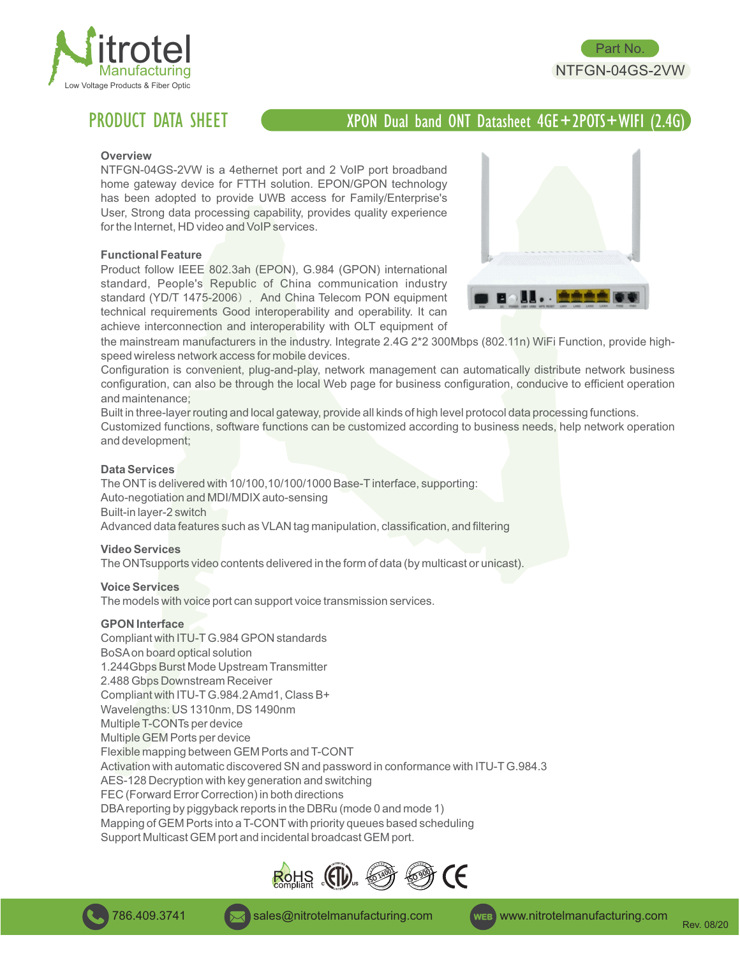

# PRODUCT DATA SHEET

# XPON Dual band ONT Datasheet 4GE+2POTS+WIFI (2.4G)

#### **Overview**

NTFGN-04GS-2VW is a 4ethernet port and 2 VoIP port broadband home gateway device for FTTH solution. EPON/GPON technology has been adopted to provide UWB access for Family/Enterprise's User, Strong data processing capability, provides quality experience for the Internet, HD video and VoIP services.

#### **Functional Feature**

Product follow IEEE 802.3ah (EPON), G.984 (GPON) international standard, People's Republic of China communication industry standard (YD/T 1475-2006), And China Telecom PON equipment technical requirements Good interoperability and operability. It can achieve interconnection and interoperability with OLT equipment of



Part No. NTFGN-04GS-2VW

the mainstream manufacturers in the industry. Integrate 2.4G 2\*2 300Mbps (802.11n) WiFi Function, provide highspeed wireless network access for mobile devices.

Configuration is convenient, plug-and-play, network management can automatically distribute network business configuration, can also be through the local Web page for business configuration, conducive to efficient operation and maintenance;

Built in three-layer routing and local gateway, provide all kinds of high level protocol data processing functions.

Customized functions, software functions can be customized according to business needs, help network operation and development;

#### **Data Services**

The ONT is delivered with 10/100,10/100/1000 Base-T interface, supporting: Auto-negotiation and MDI/MDIX auto-sensing Built-in layer-2 switch Advanced data features such as VLAN tag manipulation, classification, and filtering

#### **Video Services**

The ONTsupports video contents delivered in the form of data (by multicast or unicast).

#### **Voice Services**

The models with voice port can support voice transmission services.

#### **GPON Interface**

Compliant with ITU-TG.984 GPON standards BoSAon board optical solution 1.244Gbps Burst Mode Upstream Transmitter 2.488 Gbps Downstream Receiver Compliant with ITU-TG.984.2 Amd1, Class B+ Wavelengths: US 1310nm, DS 1490nm Multiple T-CONTs per device Multiple GEM Ports per device Flexible mapping between GEM Ports and T-CONT Activation with automatic discovered SN and password in conformance with ITU-TG.984.3 AES-128 Decryption with key generation and switching FEC (Forward Error Correction) in both directions DBAreporting by piggyback reports in the DBRu (mode 0 and mode 1) Mapping of GEM Ports into a T-CONT with priority queues based scheduling Support Multicast GEM port and incidental broadcast GEM port.



786.409.3741 **Sales@nitrotelmanufacturing.com wEB** www.nitrotelmanufacturing.com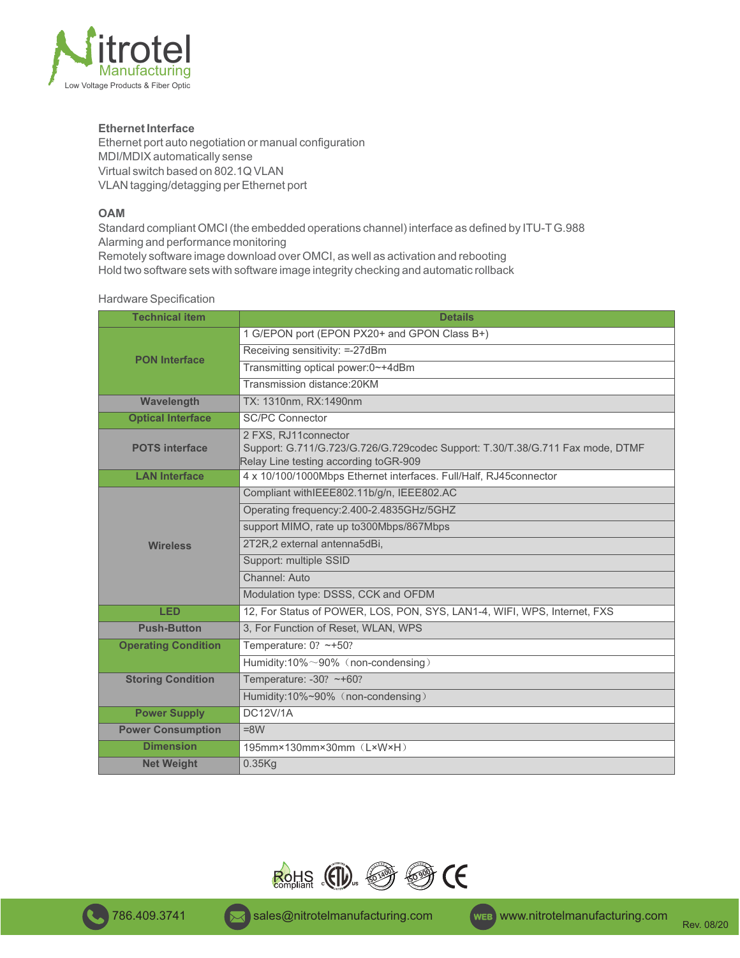

# **Ethernet Interface**

Ethernet port auto negotiation or manual configuration MDI/MDIX automatically sense Virtual switch based on 802.1Q VLAN VLAN tagging/detagging per Ethernet port

# **OAM**

Standard compliant OMCI (the embedded operations channel) interface as defined by ITU-TG.988 Alarming and performance monitoring Remotely software image download over OMCI, as well as activation and rebooting Hold two software sets with software image integrity checking and automatic rollback

# Hardware Specification

| <b>Technical item</b>      | <b>Details</b>                                                                                                                                 |  |  |
|----------------------------|------------------------------------------------------------------------------------------------------------------------------------------------|--|--|
| <b>PON Interface</b>       | 1 G/EPON port (EPON PX20+ and GPON Class B+)                                                                                                   |  |  |
|                            | Receiving sensitivity: =-27dBm                                                                                                                 |  |  |
|                            | Transmitting optical power:0~+4dBm                                                                                                             |  |  |
|                            | Transmission distance: 20KM                                                                                                                    |  |  |
| Wavelength                 | TX: 1310nm, RX:1490nm                                                                                                                          |  |  |
| <b>Optical Interface</b>   | <b>SC/PC Connector</b>                                                                                                                         |  |  |
| <b>POTS</b> interface      | 2 FXS, RJ11connector<br>Support: G.711/G.723/G.726/G.729codec Support: T.30/T.38/G.711 Fax mode, DTMF<br>Relay Line testing according toGR-909 |  |  |
| <b>LAN Interface</b>       | 4 x 10/100/1000Mbps Ethernet interfaces. Full/Half, RJ45connector                                                                              |  |  |
|                            | Compliant withIEEE802.11b/g/n, IEEE802.AC                                                                                                      |  |  |
|                            | Operating frequency: 2.400-2.4835GHz/5GHZ                                                                                                      |  |  |
|                            | support MIMO, rate up to300Mbps/867Mbps                                                                                                        |  |  |
| <b>Wireless</b>            | 2T2R,2 external antenna5dBi,                                                                                                                   |  |  |
|                            | Support: multiple SSID                                                                                                                         |  |  |
|                            | Channel: Auto                                                                                                                                  |  |  |
|                            | Modulation type: DSSS, CCK and OFDM                                                                                                            |  |  |
| <b>LED</b>                 | 12, For Status of POWER, LOS, PON, SYS, LAN1-4, WIFI, WPS, Internet, FXS                                                                       |  |  |
| <b>Push-Button</b>         | 3, For Function of Reset, WLAN, WPS                                                                                                            |  |  |
| <b>Operating Condition</b> | Temperature: $0? \sim +50?$                                                                                                                    |  |  |
|                            | Humidity:10%~90% (non-condensing)                                                                                                              |  |  |
| <b>Storing Condition</b>   | Temperature: -30? ~+60?                                                                                                                        |  |  |
|                            | Humidity:10%~90% (non-condensing)                                                                                                              |  |  |
| <b>Power Supply</b>        | <b>DC12V/1A</b>                                                                                                                                |  |  |
| <b>Power Consumption</b>   | $=8W$                                                                                                                                          |  |  |
| <b>Dimension</b>           | 195mm×130mm×30mm (L×W×H)                                                                                                                       |  |  |
| <b>Net Weight</b>          | 0.35Kg                                                                                                                                         |  |  |